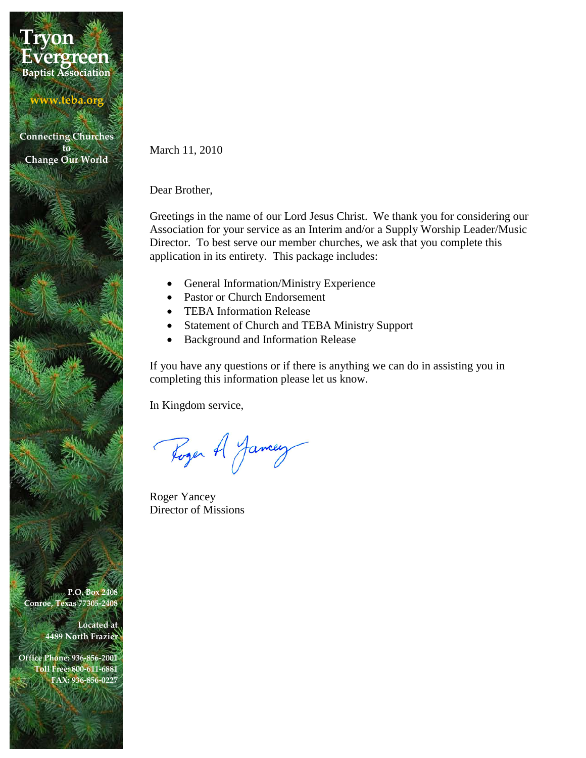## **Tryon Baptist Association Evergreen**

**www.teba.org**

**Connecting Churches to Change Our World**

March 11, 2010

Dear Brother,

Greetings in the name of our Lord Jesus Christ. We thank you for considering our Association for your service as an Interim and/or a Supply Worship Leader/Music Director. To best serve our member churches, we ask that you complete this application in its entirety. This package includes:

- General Information/Ministry Experience
- Pastor or Church Endorsement
- TEBA Information Release
- Statement of Church and TEBA Ministry Support
- Background and Information Release

If you have any questions or if there is anything we can do in assisting you in completing this information please let us know.

In Kingdom service,

Roger A Jamey

Roger Yancey Director of Missions

**P.O. Box 2408 Conroe, Texas 77305-2408**

> **Located at 4489 North Frazier**

**Office Phone: 936-856-2001 Toll Free: 800-611-6881 FAX: 936-856-0227**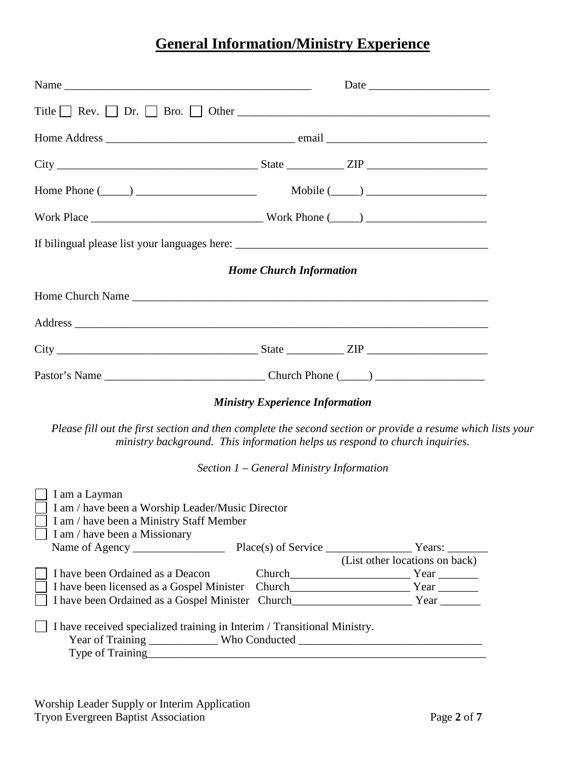# **General Information/Ministry Experience**

|                                                                                                                                                | <b>Home Church Information</b>                                                                                                                                                             |
|------------------------------------------------------------------------------------------------------------------------------------------------|--------------------------------------------------------------------------------------------------------------------------------------------------------------------------------------------|
|                                                                                                                                                |                                                                                                                                                                                            |
|                                                                                                                                                |                                                                                                                                                                                            |
|                                                                                                                                                |                                                                                                                                                                                            |
|                                                                                                                                                |                                                                                                                                                                                            |
|                                                                                                                                                | <b>Ministry Experience Information</b>                                                                                                                                                     |
|                                                                                                                                                | Please fill out the first section and then complete the second section or provide a resume which lists your<br>ministry background. This information helps us respond to church inquiries. |
|                                                                                                                                                | Section $1$ – General Ministry Information                                                                                                                                                 |
| I am a Layman<br>I am / have been a Worship Leader/Music Director<br>I am / have been a Ministry Staff Member<br>I am / have been a Missionary | (List other locations on back)                                                                                                                                                             |
| I have been Ordained as a Deacon                                                                                                               |                                                                                                                                                                                            |
|                                                                                                                                                |                                                                                                                                                                                            |
| I have received specialized training in Interim / Transitional Ministry.                                                                       | Year of Training _______________ Who Conducted _________________________________<br>Type of Training Type of Training                                                                      |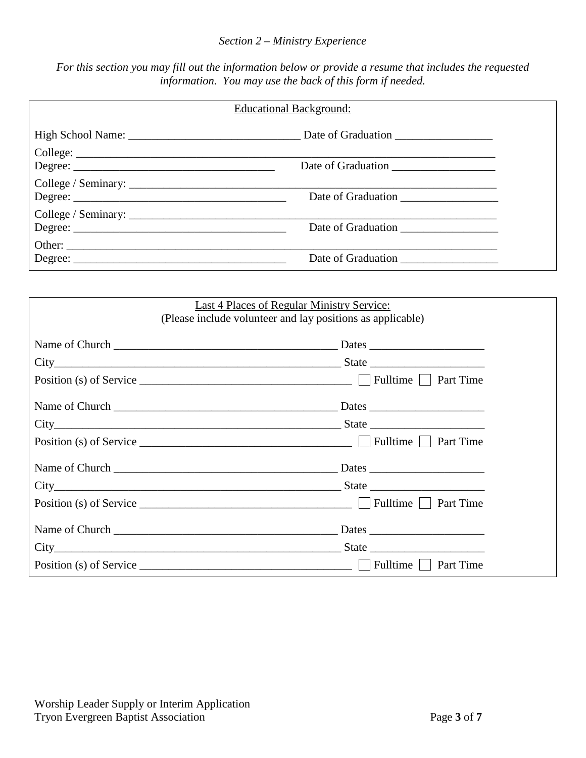#### *Section 2 – Ministry Experience*

*For this section you may fill out the information below or provide a resume that includes the requested information. You may use the back of this form if needed.*

| <b>Educational Background:</b>              |                    |  |
|---------------------------------------------|--------------------|--|
|                                             |                    |  |
|                                             | Date of Graduation |  |
| College / Seminary: $\frac{1}{\sqrt{2}}$    | Date of Graduation |  |
| College / Seminary: $\frac{1}{\sqrt{2\pi}}$ |                    |  |
|                                             |                    |  |

| Last 4 Places of Regular Ministry Service:<br>(Please include volunteer and lay positions as applicable) |                                                                                                                                                                                                                                               |  |  |
|----------------------------------------------------------------------------------------------------------|-----------------------------------------------------------------------------------------------------------------------------------------------------------------------------------------------------------------------------------------------|--|--|
|                                                                                                          |                                                                                                                                                                                                                                               |  |  |
|                                                                                                          | $City$ State Structure is the Structure of State Structure in State Structure in State Structure in State Structure in Structure in Structure in Structure in Structure in Structure in Structure in Structure in Structure in S              |  |  |
|                                                                                                          |                                                                                                                                                                                                                                               |  |  |
|                                                                                                          |                                                                                                                                                                                                                                               |  |  |
|                                                                                                          |                                                                                                                                                                                                                                               |  |  |
|                                                                                                          |                                                                                                                                                                                                                                               |  |  |
|                                                                                                          |                                                                                                                                                                                                                                               |  |  |
|                                                                                                          |                                                                                                                                                                                                                                               |  |  |
|                                                                                                          |                                                                                                                                                                                                                                               |  |  |
|                                                                                                          | Name of Church <u>the contract of the contract of the contract of the contract of the contract of the contract of the contract of the contract of the contract of the contract of the contract of the contract of the contract o</u><br>Dates |  |  |
|                                                                                                          |                                                                                                                                                                                                                                               |  |  |
|                                                                                                          | Position (s) of Service $\frac{1}{\sqrt{2}}$ Position (s) of Service $\frac{1}{\sqrt{2}}$ Position (s) of Service $\frac{1}{\sqrt{2}}$                                                                                                        |  |  |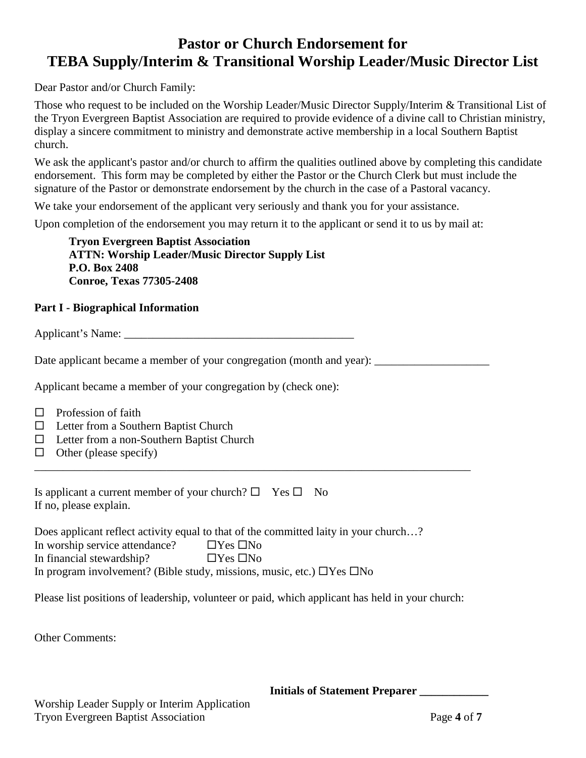### **Pastor or Church Endorsement for TEBA Supply/Interim & Transitional Worship Leader/Music Director List**

Dear Pastor and/or Church Family:

Those who request to be included on the Worship Leader/Music Director Supply/Interim & Transitional List of the Tryon Evergreen Baptist Association are required to provide evidence of a divine call to Christian ministry, display a sincere commitment to ministry and demonstrate active membership in a local Southern Baptist church.

We ask the applicant's pastor and/or church to affirm the qualities outlined above by completing this candidate endorsement. This form may be completed by either the Pastor or the Church Clerk but must include the signature of the Pastor or demonstrate endorsement by the church in the case of a Pastoral vacancy.

We take your endorsement of the applicant very seriously and thank you for your assistance.

Upon completion of the endorsement you may return it to the applicant or send it to us by mail at:

**Tryon Evergreen Baptist Association ATTN: Worship Leader/Music Director Supply List P.O. Box 2408 Conroe, Texas 77305-2408**

#### **Part I - Biographical Information**

Applicant's Name: \_\_\_\_\_\_\_\_\_\_\_\_\_\_\_\_\_\_\_\_\_\_\_\_\_\_\_\_\_\_\_\_\_\_\_\_\_\_\_\_

Date applicant became a member of your congregation (month and year):

\_\_\_\_\_\_\_\_\_\_\_\_\_\_\_\_\_\_\_\_\_\_\_\_\_\_\_\_\_\_\_\_\_\_\_\_\_\_\_\_\_\_\_\_\_\_\_\_\_\_\_\_\_\_\_\_\_\_\_\_\_\_\_\_\_\_\_\_\_\_\_\_\_\_\_\_

Applicant became a member of your congregation by (check one):

- $\Box$  Profession of faith
- $\Box$  Letter from a Southern Baptist Church
- $\Box$  Letter from a non-Southern Baptist Church
- $\Box$  Other (please specify)

Is applicant a current member of your church?  $\Box$  Yes  $\Box$  No If no, please explain.

Does applicant reflect activity equal to that of the committed laity in your church…? In worship service attendance?  $\Box$  Yes  $\Box$  No In financial stewardship?  $\Box$  Yes  $\Box$  No In program involvement? (Bible study, missions, music, etc.)  $\Box$  Yes  $\Box$  No

Please list positions of leadership, volunteer or paid, which applicant has held in your church:

Other Comments:

 **Initials of Statement Preparer \_\_\_\_\_\_\_\_\_\_\_\_**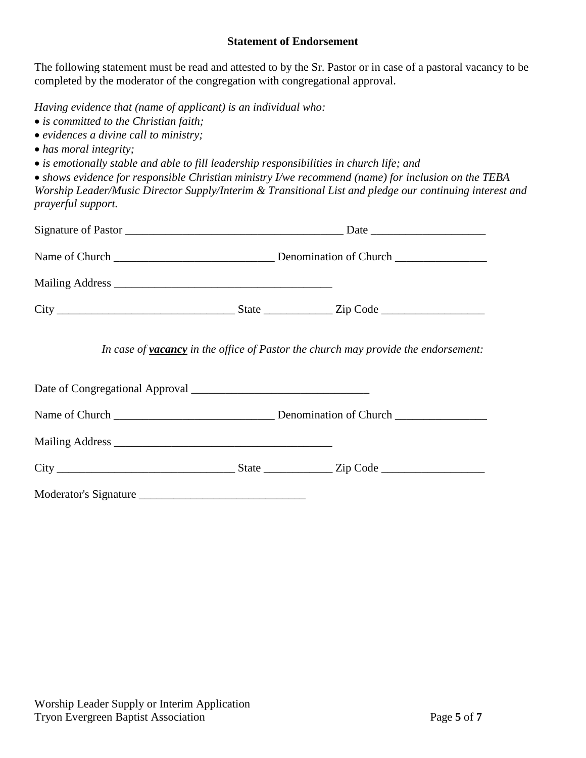#### **Statement of Endorsement**

The following statement must be read and attested to by the Sr. Pastor or in case of a pastoral vacancy to be completed by the moderator of the congregation with congregational approval.

*Having evidence that (name of applicant) is an individual who:*

- *is committed to the Christian faith;*
- *evidences a divine call to ministry;*
- *has moral integrity;*
- *is emotionally stable and able to fill leadership responsibilities in church life; and*

• *shows evidence for responsible Christian ministry I/we recommend (name) for inclusion on the TEBA Worship Leader/Music Director Supply/Interim & Transitional List and pledge our continuing interest and prayerful support.*

|  | Date                                                                                      |
|--|-------------------------------------------------------------------------------------------|
|  |                                                                                           |
|  |                                                                                           |
|  |                                                                                           |
|  | In case of <b>vacancy</b> in the office of Pastor the church may provide the endorsement: |

|                       | $\text{City}$ $\qquad \qquad$ $\qquad \qquad$ $\qquad$ $\qquad \qquad$ $\qquad$ $\qquad$ $\qquad$ $\qquad$ $\qquad$ $\qquad$ $\qquad$ $\qquad$ $\qquad$ $\qquad$ $\qquad$ $\qquad$ $\qquad$ $\qquad$ $\qquad$ $\qquad$ $\qquad$ $\qquad$ $\qquad$ $\qquad$ $\qquad$ $\qquad$ $\qquad$ $\qquad$ $\qquad$ $\qquad$ $\qquad$ $\qquad$ $\qquad$ $\qquad$ |  |
|-----------------------|------------------------------------------------------------------------------------------------------------------------------------------------------------------------------------------------------------------------------------------------------------------------------------------------------------------------------------------------------|--|
| Moderator's Signature |                                                                                                                                                                                                                                                                                                                                                      |  |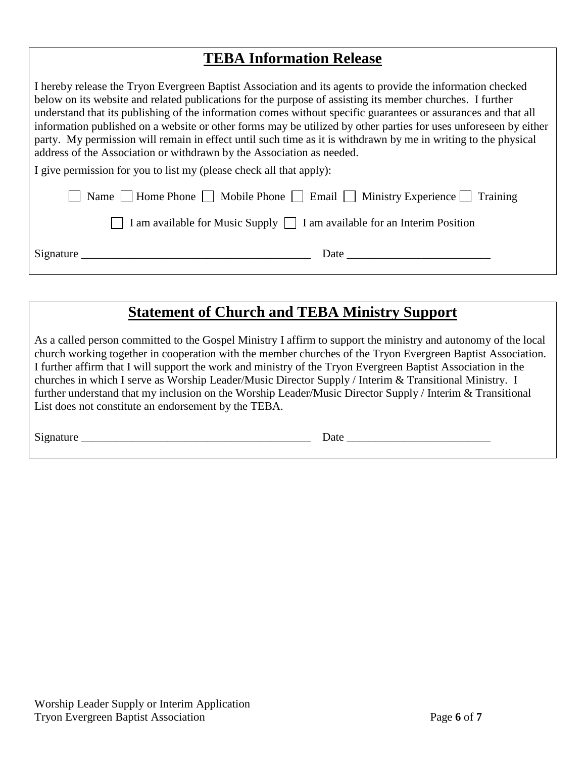### **TEBA Information Release**

I hereby release the Tryon Evergreen Baptist Association and its agents to provide the information checked below on its website and related publications for the purpose of assisting its member churches. I further understand that its publishing of the information comes without specific guarantees or assurances and that all information published on a website or other forms may be utilized by other parties for uses unforeseen by either party. My permission will remain in effect until such time as it is withdrawn by me in writing to the physical address of the Association or withdrawn by the Association as needed. I give permission for you to list my (please check all that apply):

| $\Box$ Name $\Box$ Home Phone $\Box$ Mobile Phone $\Box$ Email $\Box$ Ministry Experience $\Box$ Training                                                                                                                     |  |
|-------------------------------------------------------------------------------------------------------------------------------------------------------------------------------------------------------------------------------|--|
| $\Box$ I am available for Music Supply $\Box$ I am available for an Interim Position                                                                                                                                          |  |
| Date and the same state of the same state of the same state of the same state of the same state of the same state of the same state of the same state of the same state of the same state of the same state of the same state |  |

## **Statement of Church and TEBA Ministry Support**

As a called person committed to the Gospel Ministry I affirm to support the ministry and autonomy of the local church working together in cooperation with the member churches of the Tryon Evergreen Baptist Association. I further affirm that I will support the work and ministry of the Tryon Evergreen Baptist Association in the churches in which I serve as Worship Leader/Music Director Supply / Interim & Transitional Ministry. I further understand that my inclusion on the Worship Leader/Music Director Supply / Interim & Transitional List does not constitute an endorsement by the TEBA.

Signature \_\_\_\_\_\_\_\_\_\_\_\_\_\_\_\_\_\_\_\_\_\_\_\_\_\_\_\_\_\_\_\_\_\_\_\_\_\_\_\_ Date \_\_\_\_\_\_\_\_\_\_\_\_\_\_\_\_\_\_\_\_\_\_\_\_\_